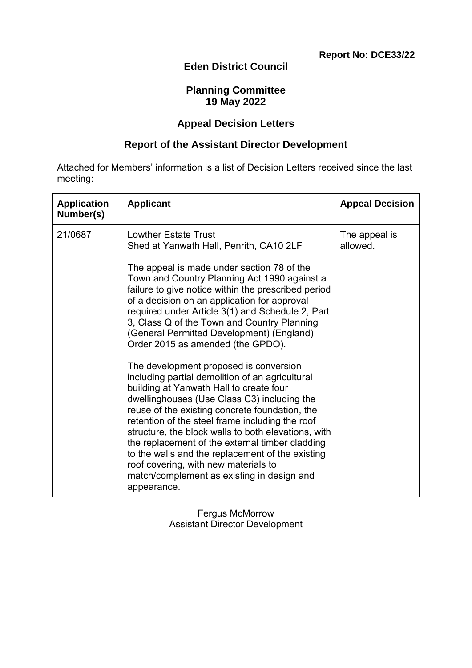# **Eden District Council**

### **Planning Committee 19 May 2022**

#### **Appeal Decision Letters**

## **Report of the Assistant Director Development**

Attached for Members' information is a list of Decision Letters received since the last meeting:

| <b>Application</b><br>Number(s) | <b>Applicant</b>                                                                                                                                                                                                                                                                                                                                                                                                                                                                                                                                            | <b>Appeal Decision</b>    |
|---------------------------------|-------------------------------------------------------------------------------------------------------------------------------------------------------------------------------------------------------------------------------------------------------------------------------------------------------------------------------------------------------------------------------------------------------------------------------------------------------------------------------------------------------------------------------------------------------------|---------------------------|
| 21/0687                         | <b>Lowther Estate Trust</b><br>Shed at Yanwath Hall, Penrith, CA10 2LF                                                                                                                                                                                                                                                                                                                                                                                                                                                                                      | The appeal is<br>allowed. |
|                                 | The appeal is made under section 78 of the<br>Town and Country Planning Act 1990 against a<br>failure to give notice within the prescribed period<br>of a decision on an application for approval<br>required under Article 3(1) and Schedule 2, Part<br>3, Class Q of the Town and Country Planning<br>(General Permitted Development) (England)<br>Order 2015 as amended (the GPDO).                                                                                                                                                                      |                           |
|                                 | The development proposed is conversion<br>including partial demolition of an agricultural<br>building at Yanwath Hall to create four<br>dwellinghouses (Use Class C3) including the<br>reuse of the existing concrete foundation, the<br>retention of the steel frame including the roof<br>structure, the block walls to both elevations, with<br>the replacement of the external timber cladding<br>to the walls and the replacement of the existing<br>roof covering, with new materials to<br>match/complement as existing in design and<br>appearance. |                           |

Fergus McMorrow Assistant Director Development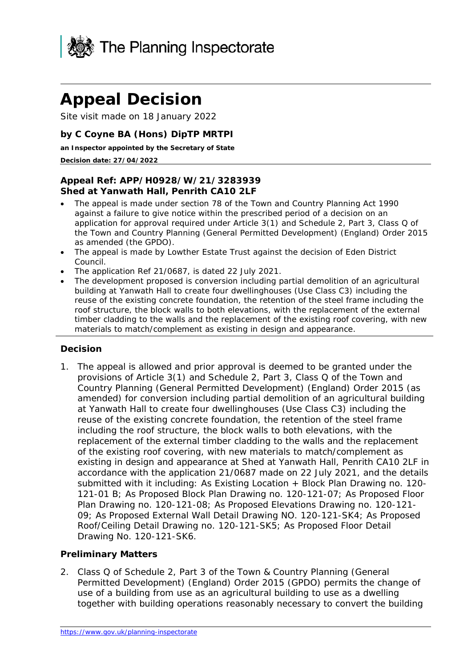

# **Appeal Decision**

Site visit made on 18 January 2022

#### **by C Coyne BA (Hons) DipTP MRTPI**

**an Inspector appointed by the Secretary of State** 

#### **Decision date: 27/04/2022**

#### **Appeal Ref: APP/H0928/W/21/3283939 Shed at Yanwath Hall, Penrith CA10 2LF**

- The appeal is made under section 78 of the Town and Country Planning Act 1990 against a failure to give notice within the prescribed period of a decision on an application for approval required under Article 3(1) and Schedule 2, Part 3, Class Q of the Town and Country Planning (General Permitted Development) (England) Order 2015 as amended (the GPDO).
- The appeal is made by Lowther Estate Trust against the decision of Eden District Council.
- The application Ref 21/0687, is dated 22 July 2021.
- The development proposed is conversion including partial demolition of an agricultural building at Yanwath Hall to create four dwellinghouses (Use Class C3) including the reuse of the existing concrete foundation, the retention of the steel frame including the roof structure, the block walls to both elevations, with the replacement of the external timber cladding to the walls and the replacement of the existing roof covering, with new materials to match/complement as existing in design and appearance.

#### **Decision**

1. The appeal is allowed and prior approval is deemed to be granted under the provisions of Article 3(1) and Schedule 2, Part 3, Class Q of the Town and Country Planning (General Permitted Development) (England) Order 2015 (as amended) for conversion including partial demolition of an agricultural building at Yanwath Hall to create four dwellinghouses (Use Class C3) including the reuse of the existing concrete foundation, the retention of the steel frame including the roof structure, the block walls to both elevations, with the replacement of the external timber cladding to the walls and the replacement of the existing roof covering, with new materials to match/complement as existing in design and appearance at Shed at Yanwath Hall, Penrith CA10 2LF in accordance with the application 21/0687 made on 22 July 2021, and the details submitted with it including: As Existing Location + Block Plan Drawing no. 120-121-01 B; As Proposed Block Plan Drawing no. 120-121-07; As Proposed Floor Plan Drawing no. 120-121-08; As Proposed Elevations Drawing no. 120-121- 09; As Proposed External Wall Detail Drawing NO. 120-121-SK4; As Proposed Roof/Ceiling Detail Drawing no. 120-121-SK5; As Proposed Floor Detail Drawing No. 120-121-SK6.

#### **Preliminary Matters**

2. Class Q of Schedule 2, Part 3 of the Town & Country Planning (General Permitted Development) (England) Order 2015 (GPDO) permits the change of use of a building from use as an agricultural building to use as a dwelling together with building operations reasonably necessary to convert the building